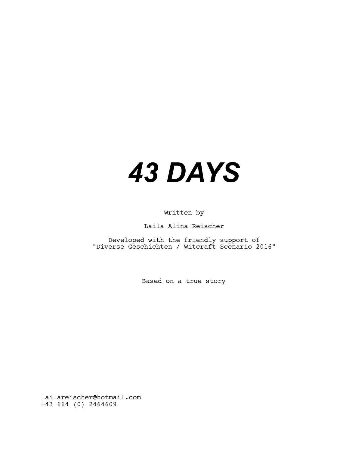## *43 DAYS*

Written by

Laila Alina Reischer

Developed with the friendly support of "Diverse Geschichten / Witcraft Scenario 2016"

Based on a true story

lailareischer@hotmail.com +43 664 (0) 2464609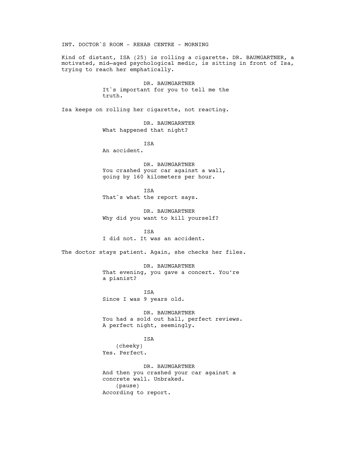INT. DOCTOR`S ROOM - REHAB CENTRE – MORNING

Kind of distant, ISA (25) is rolling a cigarette. DR. BAUMGARTNER, a motivated, mid—aged psychological medic, is sitting in front of Isa, trying to reach her emphatically.

> DR. BAUMGARTNER It`s important for you to tell me the truth.

Isa keeps on rolling her cigarette, not reacting.

DR. BAUMGARNTER What happened that night?

ISA

An accident.

DR. BAUMGARTNER You crashed your car against a wall, going by 160 kilometers per hour.

ISA That`s what the report says.

DR. BAUMGARTNER Why did you want to kill yourself?

**TSA** I did not. It was an accident.

The doctor stays patient. Again, she checks her files.

DR. BAUMGARTNER That evening, you gave a concert. You're a pianist?

ISA Since I was 9 years old.

DR. BAUMGARTNER You had a sold out hall, perfect reviews. A perfect night, seemingly.

ISA (cheeky) Yes. Perfect.

DR. BAUMGARTNER And then you crashed your car against a concrete wall. Unbraked. (pause) According to report.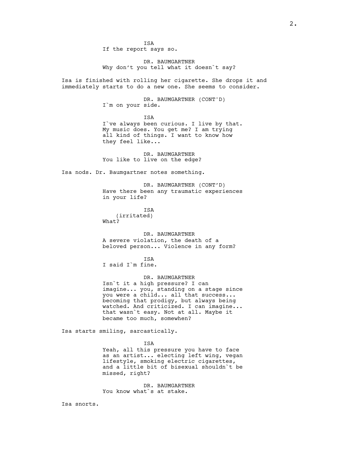**TSA** If the report says so.

DR. BAUMGARTNER Why don't you tell what it doesn`t say?

Isa is finished with rolling her cigarette. She drops it and immediately starts to do a new one. She seems to consider.

> DR. BAUMGARTNER (CONT'D) I`m on your side.

ISA I`ve always been curious. I live by that. My music does. You get me? I am trying all kind of things. I want to know how they feel like...

DR. BAUMGARTNER You like to live on the edge?

Isa nods. Dr. Baumgartner notes something.

DR. BAUMGARTNER (CONT'D) Have there been any traumatic experiences in your life?

ISA (irritated) What?

DR. BAUMGARTNER A severe violation, the death of a beloved person... Violence in any form?

ISA I said I`m fine.

DR. BAUMGARTNER Isn`t it a high pressure? I can imagine... you, standing on a stage since

you were a child... all that success... becoming that prodigy, but always being watched. And criticized. I can imagine... that wasn`t easy. Not at all. Maybe it became too much, somewhen?

Isa starts smiling, sarcastically.

ISA

Yeah, all this pressure you have to face as an artist... electing left wing, vegan lifestyle, smoking electric cigarettes, and a little bit of bisexual shouldn`t be missed, right?

DR. BAUMGARTNER You know what's at stake.

Isa snorts.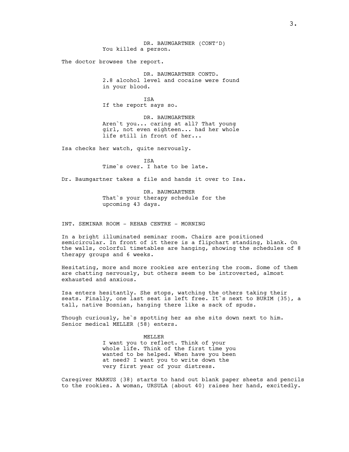DR. BAUMGARTNER (CONT'D) You killed a person.

The doctor browses the report.

DR. BAUMGARTNER CONTD. 2.8 alcohol level and cocaine were found in your blood.

**TSA** If the report says so.

DR. BAUMGARTNER Aren`t you... caring at all? That young girl, not even eighteen... had her whole life still in front of her...

Isa checks her watch, quite nervously.

ISA Time`s over. I hate to be late.

Dr. Baumgartner takes a file and hands it over to Isa.

DR. BAUMGARTNER That`s your therapy schedule for the upcoming 43 days.

INT. SEMINAR ROOM - REHAB CENTRE – MORNING

In a bright illuminated seminar room. Chairs are positioned semicircular. In front of it there is a flipchart standing, blank. On the walls, colorful timetables are hanging, showing the schedules of 8 therapy groups and 6 weeks.

Hesitating, more and more rookies are entering the room. Some of them are chatting nervously, but others seem to be introverted, almost exhausted and anxious.

Isa enters hesitantly. She stops, watching the others taking their seats. Finally, one last seat is left free. It`s next to BURIM (35), a tall, native Bosnian, hanging there like a sack of spuds.

Though curiously, he`s spotting her as she sits down next to him. Senior medical MELLER (58) enters.

> MELLER I want you to reflect. Think of your whole life. Think of the first time you wanted to be helped. When have you been at need? I want you to write down the very first year of your distress.

Caregiver MARKUS (38) starts to hand out blank paper sheets and pencils to the rookies. A woman, URSULA (about 40) raises her hand, excitedly.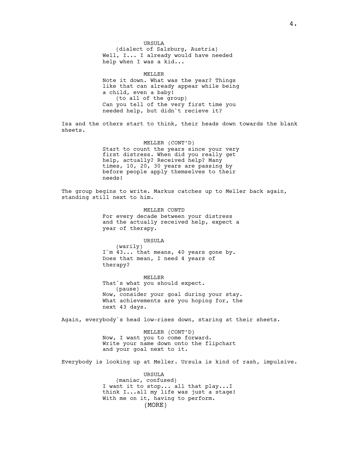URSULA (dialect of Salzburg, Austria) Well, I... I already would have needed help when I was a kid...

MELLER Note it down. What was the year? Things like that can already appear while being a child, even a baby! (to all of the group) Can you tell of the very first time you needed help, but didn`t recieve it?

Isa and the others start to think, their heads down towards the blank sheets.

> MELLER (CONT'D) Start to count the years since your very first distress. When did you really get help, actually? Received help? Many times, 10, 20, 30 years are passing by before people apply themselves to their needs!

The group begins to write. Markus catches up to Meller back again, standing still next to him.

> MELLER CONTD For every decade between your distress and the actually received help, expect a year of therapy.

URSULA (warily) I'm  $43...$  that means, 40 years gone by. Does that mean, I need 4 years of therapy?

MELLER That`s what you should expect. (pause) Now, consider your goal during your stay. What achievements are you hoping for, the next 43 days.

Again, everybody`s head low-rises down, staring at their sheets.

MELLER (CONT'D) Now, I want you to come forward. Write your name down onto the flipchart and your goal next to it.

Everybody is looking up at Meller. Ursula is kind of rash, impulsive.

URSULA (maniac, confused) I want it to stop... all that play...I think I...all my life was just a stage! With me on it, having to perform. (MORE)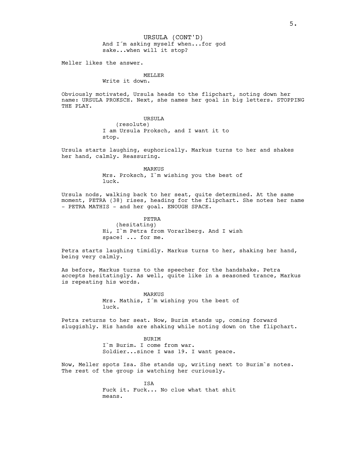And I´m asking myself when...for god sake...when will it stop? URSULA (CONT'D)

Meller likes the answer.

## MELLER Write it down.

Obviously motivated, Ursula heads to the flipchart, noting down her name: URSULA PROKSCH. Next, she names her goal in big letters. STOPPING THE PLAY.

> URSULA (resolute) I am Ursula Proksch, and I want it to stop.

Ursula starts laughing, euphorically. Markus turns to her and shakes her hand, calmly. Reassuring.

> MARKUS Mrs. Proksch, I`m wishing you the best of luck.

Ursula nods, walking back to her seat, quite determined. At the same moment, PETRA (38) rises, heading for the flipchart. She notes her name – PETRA MATHIS – and her goal. ENOUGH SPACE.

> PETRA (hesitating) Hi, I`m Petra from Vorarlberg. And I wish space! ... for me.

Petra starts laughing timidly. Markus turns to her, shaking her hand, being very calmly.

As before, Markus turns to the speecher for the handshake. Petra accepts hesitatingly. As well, quite like in a seasoned trance, Markus is repeating his words.

> MARKUS Mrs. Mathis, I´m wishing you the best of luck.

Petra returns to her seat. Now, Burim stands up, coming forward sluggishly. His hands are shaking while noting down on the flipchart.

> BURIM I`m Burim. I come from war. Soldier...since I was 19. I want peace.

Now, Meller spots Isa. She stands up, writing next to Burim`s notes. The rest of the group is watching her curiously.

> ISA Fuck it. Fuck... No clue what that shit means.